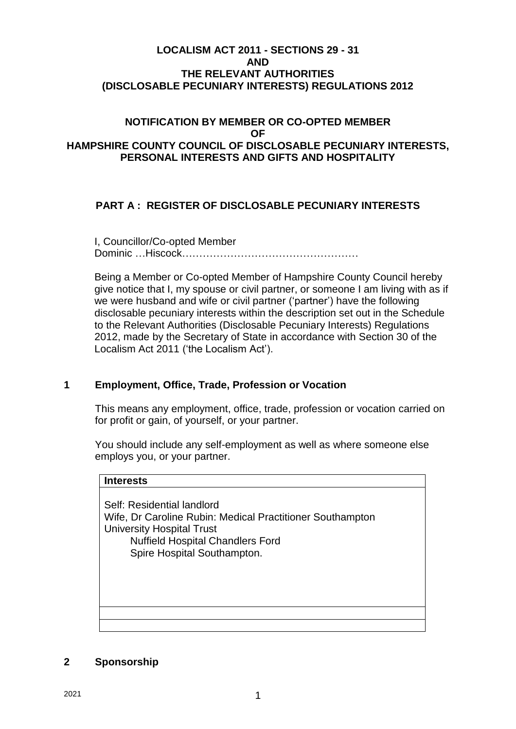#### **LOCALISM ACT 2011 - SECTIONS 29 - 31 AND THE RELEVANT AUTHORITIES (DISCLOSABLE PECUNIARY INTERESTS) REGULATIONS 2012**

#### **NOTIFICATION BY MEMBER OR CO-OPTED MEMBER OF HAMPSHIRE COUNTY COUNCIL OF DISCLOSABLE PECUNIARY INTERESTS, PERSONAL INTERESTS AND GIFTS AND HOSPITALITY**

## **PART A : REGISTER OF DISCLOSABLE PECUNIARY INTERESTS**

I, Councillor/Co-opted Member Dominic …Hiscock……………………………………………

Being a Member or Co-opted Member of Hampshire County Council hereby give notice that I, my spouse or civil partner, or someone I am living with as if we were husband and wife or civil partner ('partner') have the following disclosable pecuniary interests within the description set out in the Schedule to the Relevant Authorities (Disclosable Pecuniary Interests) Regulations 2012, made by the Secretary of State in accordance with Section 30 of the Localism Act 2011 ('the Localism Act').

## **1 Employment, Office, Trade, Profession or Vocation**

This means any employment, office, trade, profession or vocation carried on for profit or gain, of yourself, or your partner.

You should include any self-employment as well as where someone else employs you, or your partner.

| <b>Interests</b>                                                                                                                                                                                      |
|-------------------------------------------------------------------------------------------------------------------------------------------------------------------------------------------------------|
| Self: Residential landlord<br>Wife, Dr Caroline Rubin: Medical Practitioner Southampton<br><b>University Hospital Trust</b><br><b>Nuffield Hospital Chandlers Ford</b><br>Spire Hospital Southampton. |
|                                                                                                                                                                                                       |
|                                                                                                                                                                                                       |

#### **2 Sponsorship**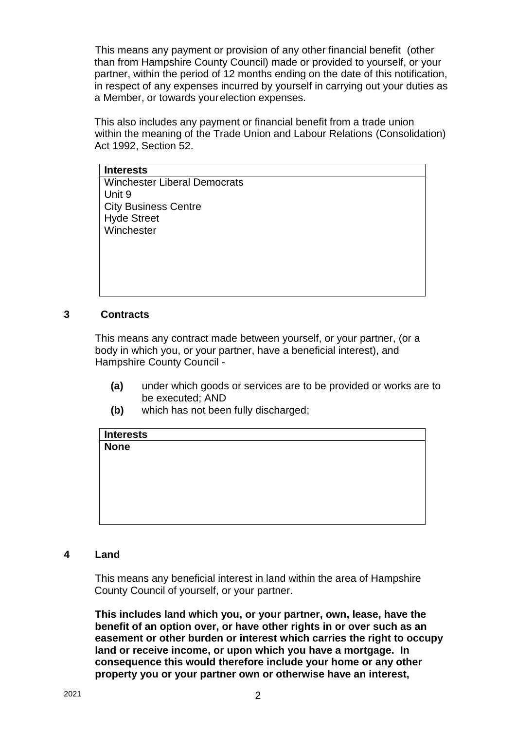This means any payment or provision of any other financial benefit (other than from Hampshire County Council) made or provided to yourself, or your partner, within the period of 12 months ending on the date of this notification, in respect of any expenses incurred by yourself in carrying out your duties as a Member, or towards yourelection expenses.

This also includes any payment or financial benefit from a trade union within the meaning of the Trade Union and Labour Relations (Consolidation) Act 1992, Section 52.

**Interests** Winchester Liberal Democrats Unit 9 City Business Centre Hyde Street **Winchester** 

#### **3 Contracts**

This means any contract made between yourself, or your partner, (or a body in which you, or your partner, have a beneficial interest), and Hampshire County Council -

- **(a)** under which goods or services are to be provided or works are to be executed; AND
- **(b)** which has not been fully discharged;

| <b>Interests</b> |  |  |  |
|------------------|--|--|--|
| <b>None</b>      |  |  |  |
|                  |  |  |  |
|                  |  |  |  |
|                  |  |  |  |
|                  |  |  |  |
|                  |  |  |  |
|                  |  |  |  |
|                  |  |  |  |

#### **4 Land**

This means any beneficial interest in land within the area of Hampshire County Council of yourself, or your partner.

**This includes land which you, or your partner, own, lease, have the benefit of an option over, or have other rights in or over such as an easement or other burden or interest which carries the right to occupy land or receive income, or upon which you have a mortgage. In consequence this would therefore include your home or any other property you or your partner own or otherwise have an interest,**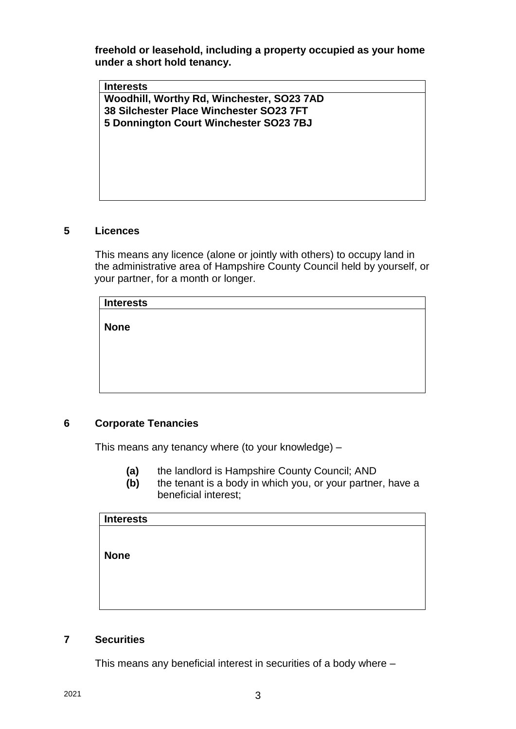**freehold or leasehold, including a property occupied as your home under a short hold tenancy.**

**Interests Woodhill, Worthy Rd, Winchester, SO23 7AD 38 Silchester Place Winchester SO23 7FT 5 Donnington Court Winchester SO23 7BJ**

#### **5 Licences**

This means any licence (alone or jointly with others) to occupy land in the administrative area of Hampshire County Council held by yourself, or your partner, for a month or longer.

| <b>Interests</b> |  |
|------------------|--|
|                  |  |
| <b>None</b>      |  |
|                  |  |
|                  |  |
|                  |  |
|                  |  |
|                  |  |

## **6 Corporate Tenancies**

This means any tenancy where (to your knowledge) –

- **(a)** the landlord is Hampshire County Council; AND
- **(b)** the tenant is a body in which you, or your partner, have a beneficial interest;

| <b>Interests</b> |  |  |
|------------------|--|--|
|                  |  |  |
|                  |  |  |
| <b>None</b>      |  |  |
|                  |  |  |
|                  |  |  |
|                  |  |  |
|                  |  |  |

#### **7 Securities**

This means any beneficial interest in securities of a body where –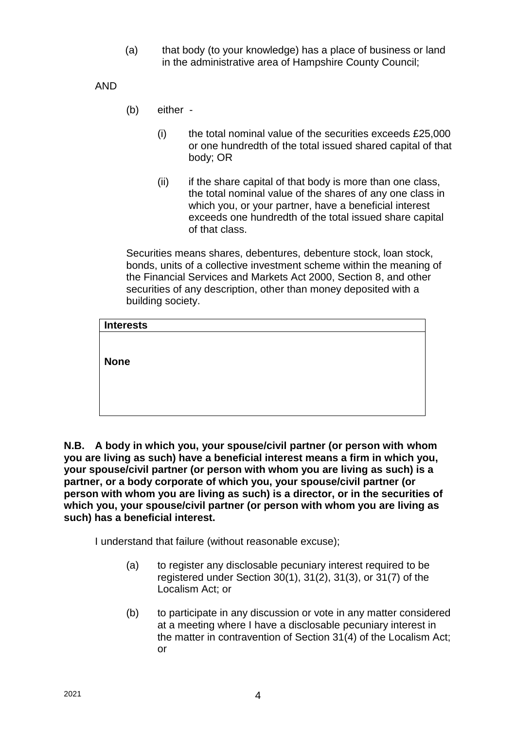(a) that body (to your knowledge) has a place of business or land in the administrative area of Hampshire County Council;

AND

- (b) either
	- $(i)$  the total nominal value of the securities exceeds £25,000 or one hundredth of the total issued shared capital of that body; OR
	- (ii) if the share capital of that body is more than one class, the total nominal value of the shares of any one class in which you, or your partner, have a beneficial interest exceeds one hundredth of the total issued share capital of that class.

Securities means shares, debentures, debenture stock, loan stock, bonds, units of a collective investment scheme within the meaning of the Financial Services and Markets Act 2000, Section 8, and other securities of any description, other than money deposited with a building society.

| Interests   |  |  |  |
|-------------|--|--|--|
|             |  |  |  |
|             |  |  |  |
| <b>None</b> |  |  |  |
|             |  |  |  |
|             |  |  |  |
|             |  |  |  |

**N.B. A body in which you, your spouse/civil partner (or person with whom you are living as such) have a beneficial interest means a firm in which you, your spouse/civil partner (or person with whom you are living as such) is a partner, or a body corporate of which you, your spouse/civil partner (or person with whom you are living as such) is a director, or in the securities of which you, your spouse/civil partner (or person with whom you are living as such) has a beneficial interest.**

I understand that failure (without reasonable excuse);

- (a) to register any disclosable pecuniary interest required to be registered under Section 30(1), 31(2), 31(3), or 31(7) of the Localism Act; or
- (b) to participate in any discussion or vote in any matter considered at a meeting where I have a disclosable pecuniary interest in the matter in contravention of Section 31(4) of the Localism Act; or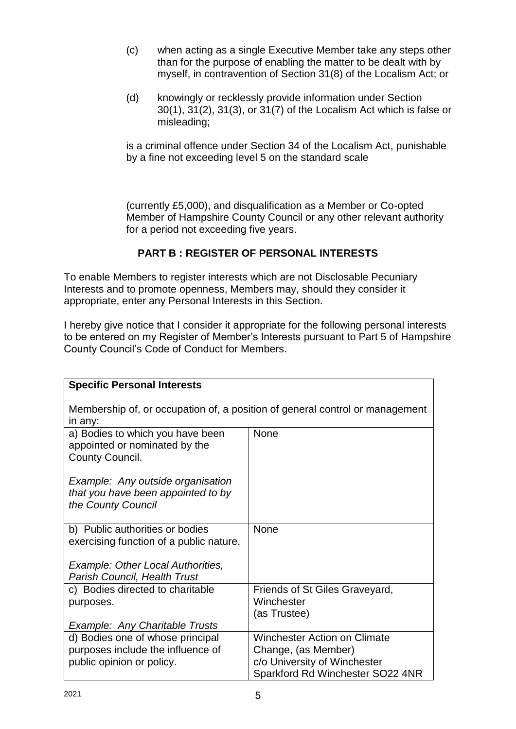- (c) when acting as a single Executive Member take any steps other than for the purpose of enabling the matter to be dealt with by myself, in contravention of Section 31(8) of the Localism Act; or
- (d) knowingly or recklessly provide information under Section 30(1), 31(2), 31(3), or 31(7) of the Localism Act which is false or misleading;

is a criminal offence under Section 34 of the Localism Act, punishable by a fine not exceeding level 5 on the standard scale

(currently £5,000), and disqualification as a Member or Co-opted Member of Hampshire County Council or any other relevant authority for a period not exceeding five years.

# **PART B : REGISTER OF PERSONAL INTERESTS**

To enable Members to register interests which are not Disclosable Pecuniary Interests and to promote openness, Members may, should they consider it appropriate, enter any Personal Interests in this Section.

I hereby give notice that I consider it appropriate for the following personal interests to be entered on my Register of Member's Interests pursuant to Part 5 of Hampshire County Council's Code of Conduct for Members.

| <b>Specific Personal Interests</b>                                                                 |                                                                                                                                |  |  |  |
|----------------------------------------------------------------------------------------------------|--------------------------------------------------------------------------------------------------------------------------------|--|--|--|
| Membership of, or occupation of, a position of general control or management<br>in any:            |                                                                                                                                |  |  |  |
| a) Bodies to which you have been<br>appointed or nominated by the<br>County Council.               | <b>None</b>                                                                                                                    |  |  |  |
| Example: Any outside organisation<br>that you have been appointed to by<br>the County Council      |                                                                                                                                |  |  |  |
| b) Public authorities or bodies<br>exercising function of a public nature.                         | <b>None</b>                                                                                                                    |  |  |  |
| Example: Other Local Authorities,<br>Parish Council, Health Trust                                  |                                                                                                                                |  |  |  |
| c) Bodies directed to charitable<br>purposes.                                                      | Friends of St Giles Graveyard,<br>Winchester<br>(as Trustee)                                                                   |  |  |  |
| Example: Any Charitable Trusts                                                                     |                                                                                                                                |  |  |  |
| d) Bodies one of whose principal<br>purposes include the influence of<br>public opinion or policy. | <b>Winchester Action on Climate</b><br>Change, (as Member)<br>c/o University of Winchester<br>Sparkford Rd Winchester SO22 4NR |  |  |  |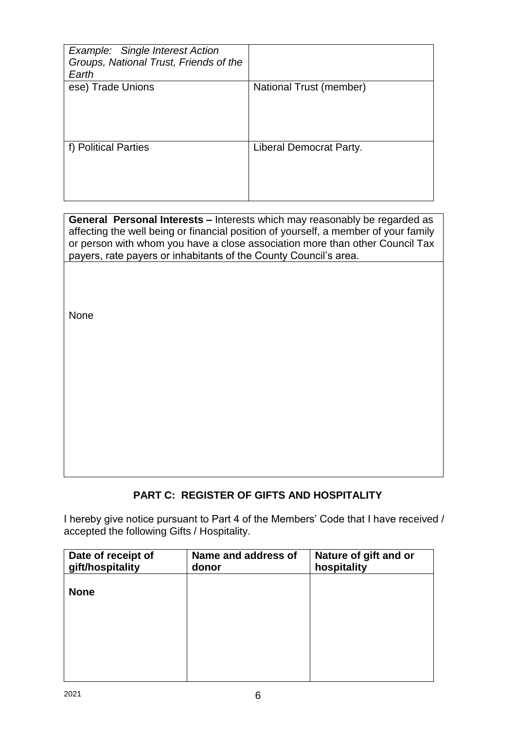| Example: Single Interest Action<br>Groups, National Trust, Friends of the<br>Earth |                         |
|------------------------------------------------------------------------------------|-------------------------|
| ese) Trade Unions                                                                  | National Trust (member) |
| f) Political Parties                                                               | Liberal Democrat Party. |

**General Personal Interests –** Interests which may reasonably be regarded as affecting the well being or financial position of yourself, a member of your family or person with whom you have a close association more than other Council Tax payers, rate payers or inhabitants of the County Council's area.

None

# **PART C: REGISTER OF GIFTS AND HOSPITALITY**

I hereby give notice pursuant to Part 4 of the Members' Code that I have received / accepted the following Gifts / Hospitality.

| Date of receipt of<br>gift/hospitality | Name and address of<br>donor | Nature of gift and or<br>hospitality |
|----------------------------------------|------------------------------|--------------------------------------|
| <b>None</b>                            |                              |                                      |
|                                        |                              |                                      |
|                                        |                              |                                      |
|                                        |                              |                                      |
|                                        |                              |                                      |